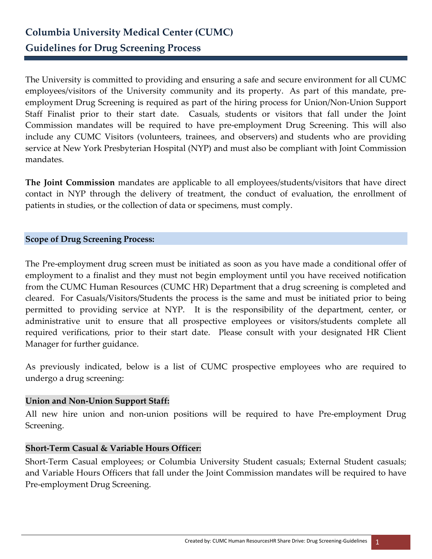The University is committed to providing and ensuring a safe and secure environment for all CUMC employees/visitors of the University community and its property. As part of this mandate, preemployment Drug Screening is required as part of the hiring process for Union/Non-Union Support Staff Finalist prior to their start date. Casuals, students or visitors that fall under the Joint Commission mandates will be required to have pre-employment Drug Screening. This will also include any CUMC Visitors (volunteers, trainees, and observers) and students who are providing service at New York Presbyterian Hospital (NYP) and must also be compliant with Joint Commission mandates.

**The Joint Commission** mandates are applicable to all employees/students/visitors that have direct contact in NYP through the delivery of treatment, the conduct of evaluation, the enrollment of patients in studies, or the collection of data or specimens, must comply.

# **Scope of Drug Screening Process:**

The Pre-employment drug screen must be initiated as soon as you have made a conditional offer of employment to a finalist and they must not begin employment until you have received notification from the CUMC Human Resources (CUMC HR) Department that a drug screening is completed and cleared. For Casuals/Visitors/Students the process is the same and must be initiated prior to being permitted to providing service at NYP. It is the responsibility of the department, center, or administrative unit to ensure that all prospective employees or visitors/students complete all required verifications, prior to their start date. Please consult with your designated HR Client Manager for further guidance.

As previously indicated, below is a list of CUMC prospective employees who are required to undergo a drug screening:

# **Union and Non-Union Support Staff:**

All new hire union and non-union positions will be required to have Pre-employment Drug Screening.

# **Short-Term Casual & Variable Hours Officer:**

Short-Term Casual employees; or Columbia University Student casuals; External Student casuals; and Variable Hours Officers that fall under the Joint Commission mandates will be required to have Pre-employment Drug Screening.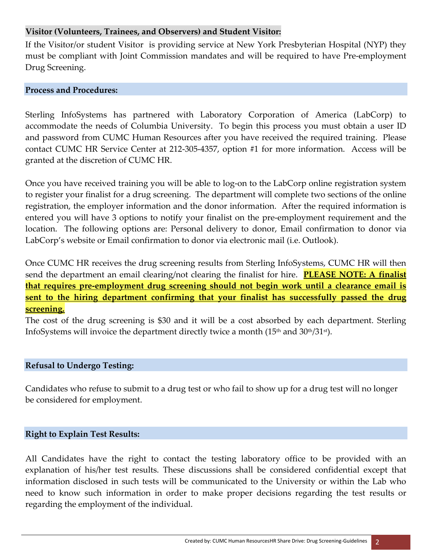# **Visitor (Volunteers, Trainees, and Observers) and Student Visitor:**

If the Visitor/or student Visitor is providing service at New York Presbyterian Hospital (NYP) they must be compliant with Joint Commission mandates and will be required to have Pre-employment Drug Screening.

#### **Process and Procedures:**

Sterling InfoSystems has partnered with Laboratory Corporation of America (LabCorp) to accommodate the needs of Columbia University. To begin this process you must obtain a user ID and password from CUMC Human Resources after you have received the required training. Please contact CUMC HR Service Center at 212-305-4357, option #1 for more information. Access will be granted at the discretion of CUMC HR.

Once you have received training you will be able to log-on to the LabCorp online registration system to register your finalist for a drug screening. The department will complete two sections of the online registration, the employer information and the donor information. After the required information is entered you will have 3 options to notify your finalist on the pre-employment requirement and the location. The following options are: Personal delivery to donor, Email confirmation to donor via LabCorp's website or Email confirmation to donor via electronic mail (i.e. Outlook).

Once CUMC HR receives the drug screening results from Sterling InfoSystems, CUMC HR will then send the department an email clearing/not clearing the finalist for hire. **PLEASE NOTE: A finalist that requires pre-employment drug screening should not begin work until a clearance email is sent to the hiring department confirming that your finalist has successfully passed the drug screening.**

The cost of the drug screening is \$30 and it will be a cost absorbed by each department. Sterling InfoSystems will invoice the department directly twice a month (15<sup>th</sup> and 30<sup>th</sup>/31<sup>st</sup>).

# **Refusal to Undergo Testing:**

Candidates who refuse to submit to a drug test or who fail to show up for a drug test will no longer be considered for employment.

# **Right to Explain Test Results:**

All Candidates have the right to contact the testing laboratory office to be provided with an explanation of his/her test results. These discussions shall be considered confidential except that information disclosed in such tests will be communicated to the University or within the Lab who need to know such information in order to make proper decisions regarding the test results or regarding the employment of the individual.